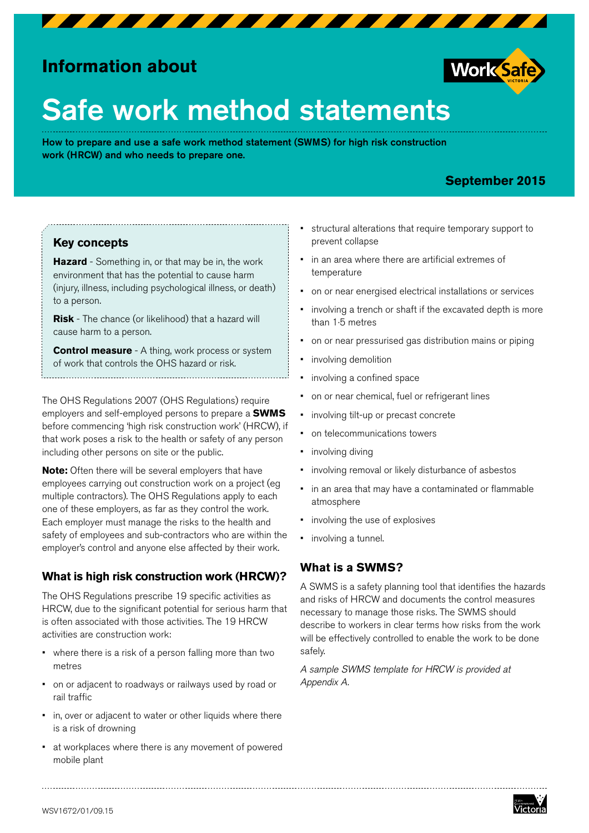

# **Information about**



# Safe work method statements

How to prepare and use a safe work method statement (SWMS) for high risk construction work (HRCW) and who needs to prepare one.

# **September 2015**

#### **Key concepts**

**Hazard** - Something in, or that may be in, the work environment that has the potential to cause harm (injury, illness, including psychological illness, or death) to a person.

**Risk** - The chance (or likelihood) that a hazard will cause harm to a person.

**Control measure** - A thing, work process or system of work that controls the OHS hazard or risk.

The OHS Regulations 2007 (OHS Regulations) require employers and self-employed persons to prepare a **SWMS** before commencing 'high risk construction work' (HRCW), if that work poses a risk to the health or safety of any person including other persons on site or the public.

**Note:** Often there will be several employers that have employees carrying out construction work on a project (eg multiple contractors). The OHS Regulations apply to each one of these employers, as far as they control the work. Each employer must manage the risks to the health and safety of employees and sub-contractors who are within the employer's control and anyone else affected by their work.

# **What is high risk construction work (HRCW)?**

The OHS Regulations prescribe 19 specific activities as HRCW, due to the significant potential for serious harm that is often associated with those activities. The 19 HRCW activities are construction work:

- where there is a risk of a person falling more than two metres
- on or adjacent to roadways or railways used by road or rail traffic
- in, over or adjacent to water or other liquids where there is a risk of drowning
- at workplaces where there is any movement of powered mobile plant
- structural alterations that require temporary support to prevent collapse
- in an area where there are artificial extremes of temperature
- on or near energised electrical installations or services
- involving a trench or shaft if the excavated depth is more than 1·5 metres
- on or near pressurised gas distribution mains or piping
- involving demolition
- involving a confined space
- on or near chemical, fuel or refrigerant lines
- involving tilt-up or precast concrete
- on telecommunications towers
- involving diving
- involving removal or likely disturbance of asbestos
- in an area that may have a contaminated or flammable atmosphere
- involving the use of explosives
- involving a tunnel.

# **What is a SWMS?**

A SWMS is a safety planning tool that identifies the hazards and risks of HRCW and documents the control measures necessary to manage those risks. The SWMS should describe to workers in clear terms how risks from the work will be effectively controlled to enable the work to be done safely.

*A sample SWMS template for HRCW is provided at Appendix A.*

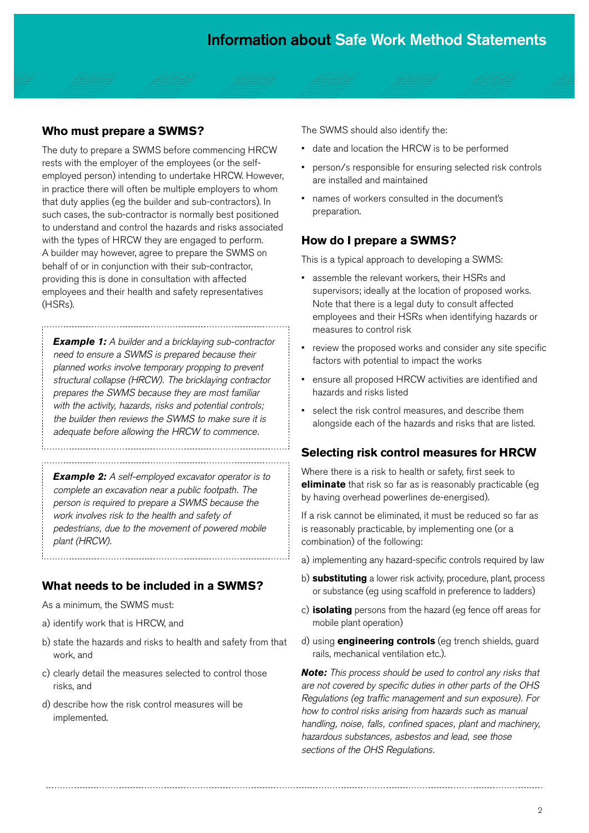#### **Who must prepare a SWMS?**

The duty to prepare a SWMS before commencing HRCW rests with the employer of the employees (or the selfemployed person) intending to undertake HRCW. However, in practice there will often be multiple employers to whom that duty applies (eg the builder and sub-contractors). In such cases, the sub-contractor is normally best positioned to understand and control the hazards and risks associated with the types of HRCW they are engaged to perform. A builder may however, agree to prepare the SWMS on behalf of or in conjunction with their sub-contractor, providing this is done in consultation with affected employees and their health and safety representatives (HSRs).

*Example 1: A builder and a bricklaying sub-contractor need to ensure a SWMS is prepared because their planned works involve temporary propping to prevent structural collapse (HRCW). The bricklaying contractor prepares the SWMS because they are most familiar with the activity, hazards, risks and potential controls; the builder then reviews the SWMS to make sure it is adequate before allowing the HRCW to commence.*

*Example 2: A self-employed excavator operator is to complete an excavation near a public footpath. The person is required to prepare a SWMS because the work involves risk to the health and safety of pedestrians, due to the movement of powered mobile plant (HRCW).* 

# **What needs to be included in a SWMS?**

As a minimum, the SWMS must:

- a) identify work that is HRCW, and
- b) state the hazards and risks to health and safety from that work, and
- c) clearly detail the measures selected to control those risks, and
- d) describe how the risk control measures will be implemented.

The SWMS should also identify the:

- date and location the HRCW is to be performed
- person/s responsible for ensuring selected risk controls are installed and maintained
- names of workers consulted in the document's preparation.

#### **How do I prepare a SWMS?**

This is a typical approach to developing a SWMS:

- assemble the relevant workers, their HSRs and supervisors; ideally at the location of proposed works. Note that there is a legal duty to consult affected employees and their HSRs when identifying hazards or measures to control risk
- review the proposed works and consider any site specific factors with potential to impact the works
- ensure all proposed HRCW activities are identified and hazards and risks listed
- select the risk control measures, and describe them alongside each of the hazards and risks that are listed.

#### **Selecting risk control measures for HRCW**

Where there is a risk to health or safety, first seek to **eliminate** that risk so far as is reasonably practicable (eg by having overhead powerlines de-energised).

If a risk cannot be eliminated, it must be reduced so far as is reasonably practicable, by implementing one (or a combination) of the following:

- a) implementing any hazard-specific controls required by law
- b) **substituting** a lower risk activity, procedure, plant, process or substance (eg using scaffold in preference to ladders)
- c) **isolating** persons from the hazard (eg fence off areas for mobile plant operation)
- d) using **engineering controls** (eg trench shields, guard rails, mechanical ventilation etc.).

*Note: This process should be used to control any risks that are not covered by specific duties in other parts of the OHS Regulations (eg traffic management and sun exposure). For how to control risks arising from hazards such as manual handling, noise, falls, confined spaces, plant and machinery, hazardous substances, asbestos and lead, see those sections of the OHS Regulations.*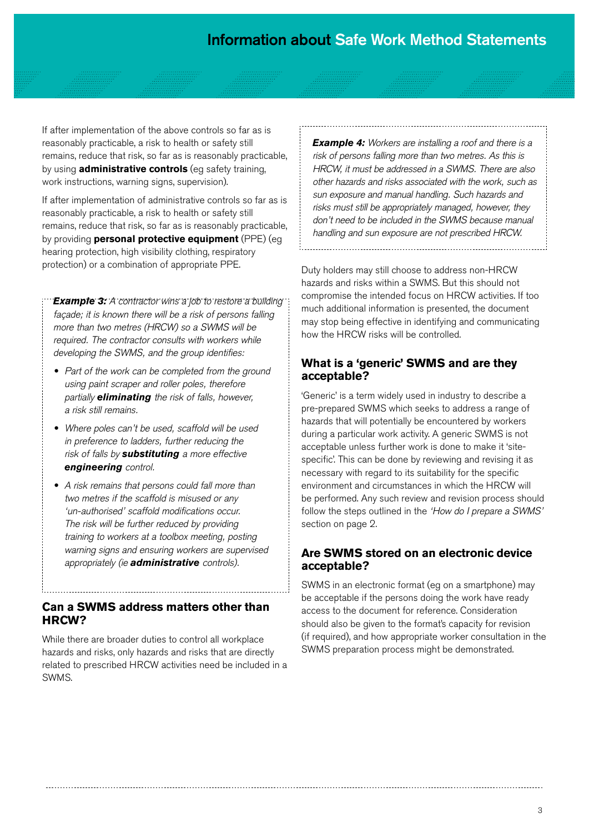If after implementation of the above controls so far as is reasonably practicable, a risk to health or safety still remains, reduce that risk, so far as is reasonably practicable, by using **administrative controls** (eg safety training, work instructions, warning signs, supervision).

If after implementation of administrative controls so far as is reasonably practicable, a risk to health or safety still remains, reduce that risk, so far as is reasonably practicable, by providing **personal protective equipment** (PPE) (eg hearing protection, high visibility clothing, respiratory protection) or a combination of appropriate PPE.

*Example 3: A contractor wins a job to restore a building*  façade; it is known there will be a risk of persons falling *more than two metres (HRCW) so a SWMS will be required. The contractor consults with workers while developing the SWMS, and the group identifies:*

- *• Part of the work can be completed from the ground using paint scraper and roller poles, therefore partially eliminating the risk of falls, however, a risk still remains.*
- *• Where poles can't be used, scaffold will be used in preference to ladders, further reducing the risk of falls by substituting a more effective engineering control.*
- *• A risk remains that persons could fall more than two metres if the scaffold is misused or any 'un-authorised' scaffold modifications occur. The risk will be further reduced by providing training to workers at a toolbox meeting, posting warning signs and ensuring workers are supervised appropriately (ie administrative controls).*

#### **Can a SWMS address matters other than HRCW?**

While there are broader duties to control all workplace hazards and risks, only hazards and risks that are directly related to prescribed HRCW activities need be included in a SWMS.

*Example 4: Workers are installing a roof and there is a risk of persons falling more than two metres. As this is HRCW, it must be addressed in a SWMS. There are also other hazards and risks associated with the work, such as sun exposure and manual handling. Such hazards and risks must still be appropriately managed, however, they don't need to be included in the SWMS because manual handling and sun exposure are not prescribed HRCW.*

Duty holders may still choose to address non-HRCW hazards and risks within a SWMS. But this should not compromise the intended focus on HRCW activities. If too much additional information is presented, the document may stop being effective in identifying and communicating how the HRCW risks will be controlled.

#### **What is a 'generic' SWMS and are they acceptable?**

'Generic' is a term widely used in industry to describe a pre-prepared SWMS which seeks to address a range of hazards that will potentially be encountered by workers during a particular work activity. A generic SWMS is not acceptable unless further work is done to make it 'sitespecific'. This can be done by reviewing and revising it as necessary with regard to its suitability for the specific environment and circumstances in which the HRCW will be performed. Any such review and revision process should follow the steps outlined in the *'How do I prepare a SWMS'* section on page 2.

#### **Are SWMS stored on an electronic device acceptable?**

SWMS in an electronic format (eg on a smartphone) may be acceptable if the persons doing the work have ready access to the document for reference. Consideration should also be given to the format's capacity for revision (if required), and how appropriate worker consultation in the SWMS preparation process might be demonstrated.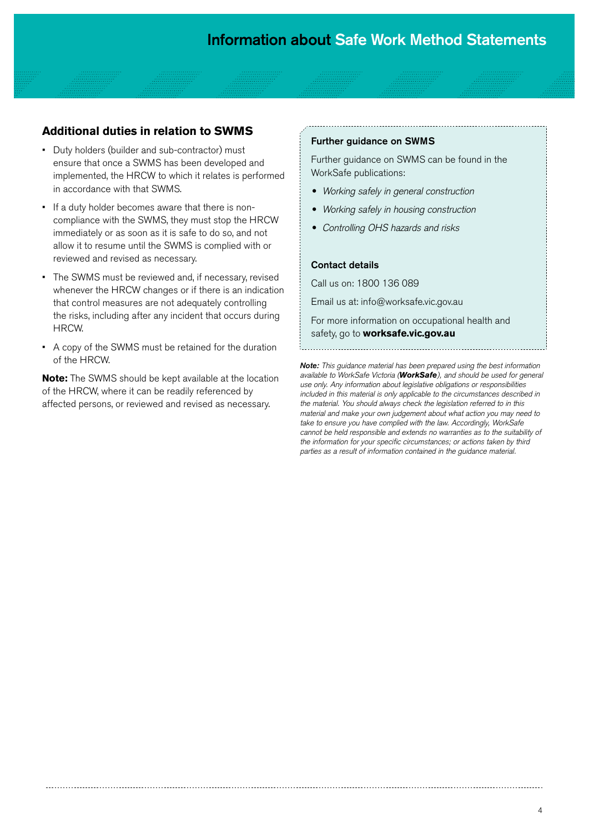#### **Additional duties in relation to SWMS**

- Duty holders (builder and sub-contractor) must ensure that once a SWMS has been developed and implemented, the HRCW to which it relates is performed in accordance with that SWMS.
- If a duty holder becomes aware that there is noncompliance with the SWMS, they must stop the HRCW immediately or as soon as it is safe to do so, and not allow it to resume until the SWMS is complied with or reviewed and revised as necessary.
- The SWMS must be reviewed and, if necessary, revised whenever the HRCW changes or if there is an indication that control measures are not adequately controlling the risks, including after any incident that occurs during HRCW.
- A copy of the SWMS must be retained for the duration of the HRCW.

**Note:** The SWMS should be kept available at the location of the HRCW, where it can be readily referenced by affected persons, or reviewed and revised as necessary.

#### Further guidance on SWMS

Further guidance on SWMS can be found in the WorkSafe publications:

- *• Working safely in general construction*
- *• Working safely in housing construction*
- *• Controlling OHS hazards and risks*

#### Contact details

Call us on: 1800 136 089

Email us at: info@worksafe.vic.gov.au

For more information on occupational health and safety, go to **worksafe.vic.gov.au**

*Note: This guidance material has been prepared using the best information available to WorkSafe Victoria (WorkSafe), and should be used for general use only. Any information about legislative obligations or responsibilities included in this material is only applicable to the circumstances described in the material. You should always check the legislation referred to in this material and make your own judgement about what action you may need to take to ensure you have complied with the law. Accordingly, WorkSafe cannot be held responsible and extends no warranties as to the suitability of the information for your specific circumstances; or actions taken by third parties as a result of information contained in the guidance material.*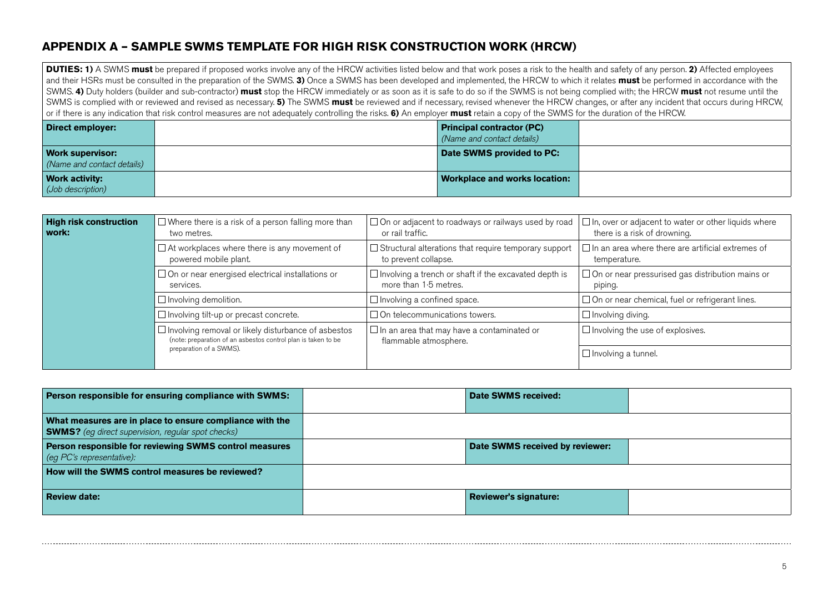### **APPENDIX A – SAMPLE SWMS TEMPLATE FOR HIGH RISK CONSTRUCTION WORK (HRCW)**

**DUTIES: 1)** A SWMS **must** be prepared if proposed works involve any of the HRCW activities listed below and that work poses a risk to the health and safety of any person. **2)** Affected employees and their HSRs must be consulted in the preparation of the SWMS. **3)** Once a SWMS has been developed and implemented, the HRCW to which it relates **must** be performed in accordance with the SWMS. **4)** Duty holders (builder and sub-contractor) **must** stop the HRCW immediately or as soon as it is safe to do so if the SWMS is not being complied with; the HRCW **must** not resume until the SWMS is complied with or reviewed and revised as necessary. **5)** The SWMS **must** be reviewed and if necessary, revised whenever the HRCW changes, or after any incident that occurs during HRCW, or if there is any indication that risk control measures are not adequately controlling the risks. **6)** An employer **must** retain a copy of the SWMS for the duration of the HRCW.

| Direct employer:                                      | <b>Principal contractor (PC)</b><br>(Name and contact details) |  |
|-------------------------------------------------------|----------------------------------------------------------------|--|
| <b>Work supervisor:</b><br>(Name and contact details) | Date SWMS provided to PC:                                      |  |
| <b>Work activity:</b><br>(Job description)            | <b>Workplace and works location:</b>                           |  |

| <b>High risk construction</b><br>work: | $\Box$ Where there is a risk of a person falling more than<br>two metres.                                                                              | $\Box$ On or adjacent to roadways or railways used by road<br>or rail traffic.        | $\Box$ In, over or adjacent to water or other liquids where<br>there is a risk of drowning. |  |
|----------------------------------------|--------------------------------------------------------------------------------------------------------------------------------------------------------|---------------------------------------------------------------------------------------|---------------------------------------------------------------------------------------------|--|
|                                        | $\Box$ At workplaces where there is any movement of<br>powered mobile plant.                                                                           | $\Box$ Structural alterations that require temporary support<br>to prevent collapse.  | $\Box$ In an area where there are artificial extremes of<br>temperature.                    |  |
|                                        | $\Box$ On or near energised electrical installations or<br>services.                                                                                   | $\Box$ Involving a trench or shaft if the excavated depth is<br>more than 1.5 metres. | $\Box$ On or near pressurised gas distribution mains or<br>piping.                          |  |
|                                        | $\Box$ Involving demolition.                                                                                                                           | $\Box$ Involving a confined space.                                                    | $\Box$ On or near chemical, fuel or refrigerant lines.                                      |  |
|                                        | $\Box$ Involving tilt-up or precast concrete.                                                                                                          | $\Box$ On telecommunications towers.                                                  | $\Box$ Involving diving.                                                                    |  |
|                                        | $\Box$ Involving removal or likely disturbance of asbestos<br>(note: preparation of an asbestos control plan is taken to be<br>preparation of a SWMS). | $\Box$ In an area that may have a contaminated or<br>flammable atmosphere.            | $\Box$ Involving the use of explosives.                                                     |  |
|                                        |                                                                                                                                                        |                                                                                       | $\Box$ Involving a tunnel.                                                                  |  |

| Person responsible for ensuring compliance with SWMS:                                                                 | Date SWMS received:             |  |
|-----------------------------------------------------------------------------------------------------------------------|---------------------------------|--|
| What measures are in place to ensure compliance with the<br><b>SWMS?</b> (eg direct supervision, regular spot checks) |                                 |  |
| Person responsible for reviewing SWMS control measures<br>$\log PC$ 's representative):                               | Date SWMS received by reviewer: |  |
| How will the SWMS control measures be reviewed?                                                                       |                                 |  |
| <b>Review date:</b>                                                                                                   | <b>Reviewer's signature:</b>    |  |